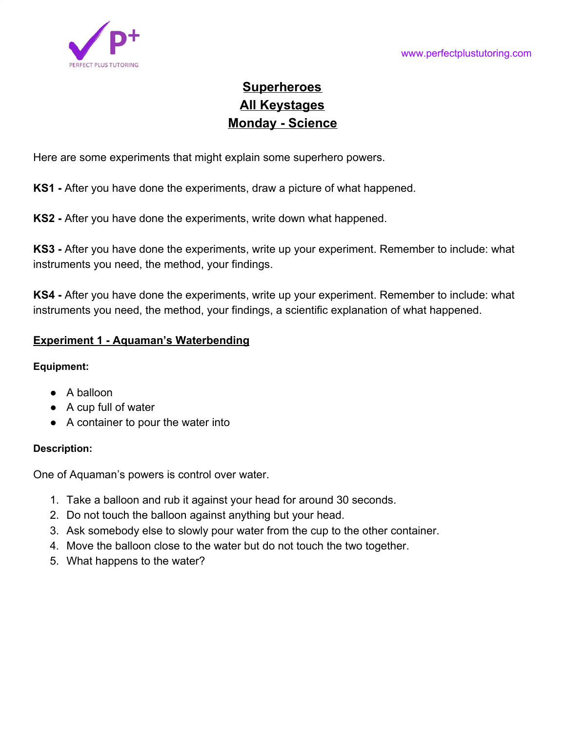

# **Superheroes All Keystages Monday - Science**

Here are some experiments that might explain some superhero powers.

**KS1 -** After you have done the experiments, draw a picture of what happened.

**KS2 -** After you have done the experiments, write down what happened.

**KS3 -** After you have done the experiments, write up your experiment. Remember to include: what instruments you need, the method, your findings.

**KS4 -** After you have done the experiments, write up your experiment. Remember to include: what instruments you need, the method, your findings, a scientific explanation of what happened.

## **Experiment 1 - Aquaman's Waterbending**

## **Equipment:**

- A balloon
- A cup full of water
- A container to pour the water into

## **Description:**

One of Aquaman's powers is control over water.

- 1. Take a balloon and rub it against your head for around 30 seconds.
- 2. Do not touch the balloon against anything but your head.
- 3. Ask somebody else to slowly pour water from the cup to the other container.
- 4. Move the balloon close to the water but do not touch the two together.
- 5. What happens to the water?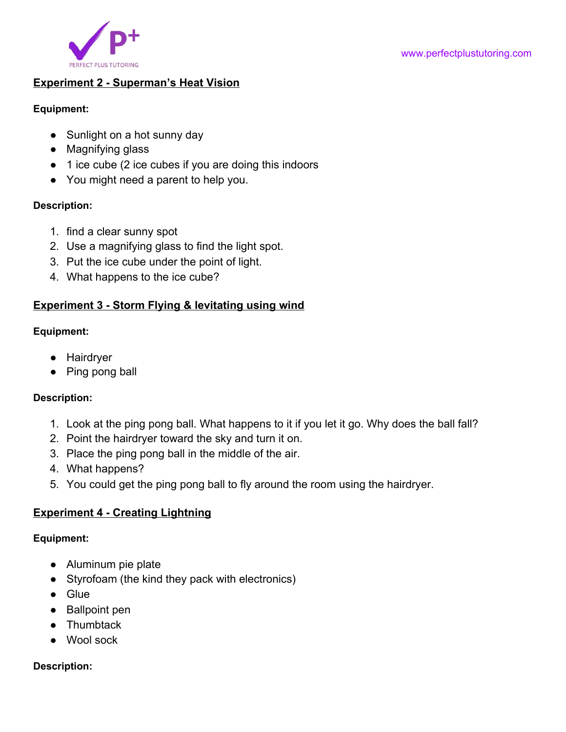

## **Experiment 2 - Superman's Heat Vision**

#### **Equipment:**

- Sunlight on a hot sunny day
- Magnifying glass
- 1 ice cube (2 ice cubes if you are doing this indoors
- You might need a parent to help you.

## **Description:**

- 1. find a clear sunny spot
- 2. Use a magnifying glass to find the light spot.
- 3. Put the ice cube under the point of light.
- 4. What happens to the ice cube?

# **Experiment 3 - Storm Flying & levitating using wind**

## **Equipment:**

- Hairdryer
- Ping pong ball

## **Description:**

- 1. Look at the ping pong ball. What happens to it if you let it go. Why does the ball fall?
- 2. Point the hairdryer toward the sky and turn it on.
- 3. Place the ping pong ball in the middle of the air.
- 4. What happens?
- 5. You could get the ping pong ball to fly around the room using the hairdryer.

# **Experiment 4 - Creating Lightning**

## **Equipment:**

- Aluminum pie plate
- Styrofoam (the kind they pack with electronics)
- Glue
- Ballpoint pen
- Thumbtack
- Wool sock

## **Description:**